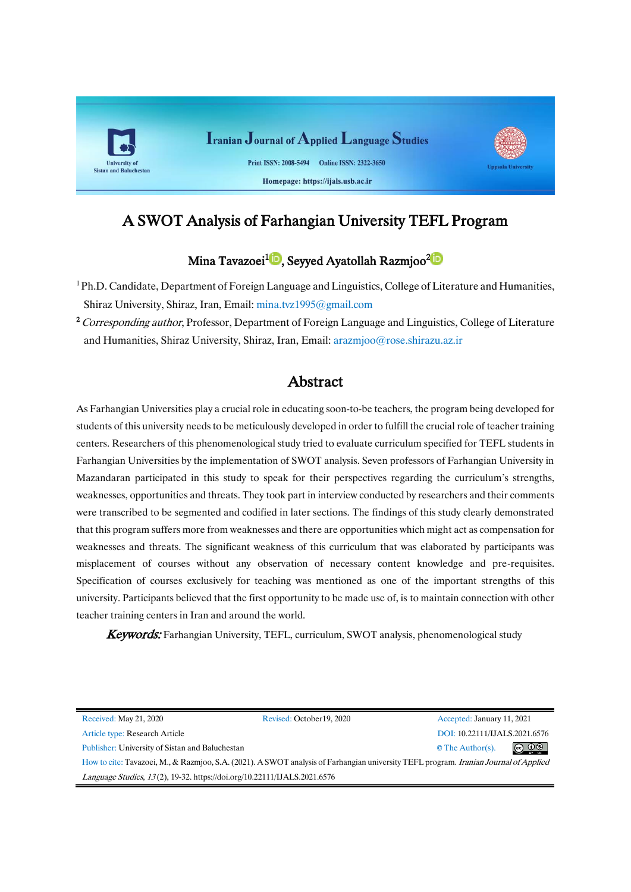

# A SWOT Analysis of Farhangian University TEFL Program

# Mina Tavazoei<sup>1</sup>®[,](https://orcid.org/0000-0001-9915-7734)Seyyed Ayatollah Razmjoo<sup>2</sup>®

- <sup>1</sup>Ph.D. Candidate, Department of Foreign Language and Linguistics, College [of Literature and Humanities,](https://lhs.shirazu.ac.ir/) Shiraz University, Shiraz, Iran, Email: [mina.tvz1995@gmail.com](mailto:mina.tvz1995@gmail.com)
- <sup>2</sup> Corresponding author, Professor, Department of Foreign Language and Linguistics, College of Literature [and Humanities,](https://lhs.shirazu.ac.ir/) Shiraz University, Shiraz, Iran, Email: [arazmjoo@rose.shirazu.az.ir](mailto:arazmjoo@rose.shirazu.az.ir)

# Abstract

As Farhangian Universities play a crucial role in educating soon-to-be teachers, the program being developed for students of this university needs to be meticulously developed in order to fulfill the crucial role of teacher training centers. Researchers of this phenomenological study tried to evaluate curriculum specified for TEFL students in Farhangian Universities by the implementation of SWOT analysis. Seven professors of Farhangian University in Mazandaran participated in this study to speak for their perspectives regarding the curriculum's strengths, weaknesses, opportunities and threats. They took part in interview conducted by researchers and their comments were transcribed to be segmented and codified in later sections. The findings of this study clearly demonstrated that this program suffers more from weaknesses and there are opportunities which might act as compensation for weaknesses and threats. The significant weakness of this curriculum that was elaborated by participants was misplacement of courses without any observation of necessary content knowledge and pre-requisites. Specification of courses exclusively for teaching was mentioned as one of the important strengths of this university. Participants believed that the first opportunity to be made use of, is to maintain connection with other teacher training centers in Iran and around the world.

**Keywords:** Farhangian University, TEFL, curriculum, SWOT analysis, phenomenological study

| Received: May 21, 2020                                                                                                               | Revised: October 19, 2020 | Accepted: January 11, 2021    |                |  |
|--------------------------------------------------------------------------------------------------------------------------------------|---------------------------|-------------------------------|----------------|--|
| Article type: Research Article                                                                                                       |                           | DOI: 10.22111/IJALS.2021.6576 |                |  |
| Publisher: University of Sistan and Baluchestan                                                                                      |                           | $\circ$ The Author(s).        | $\circledcirc$ |  |
| How to cite: Tavazoei, M., & Razmjoo, S.A. (2021). A SWOT analysis of Farhangian university TEFL program. Iranian Journal of Applied |                           |                               |                |  |
| Language Studies, 13(2), 19-32. https://doi.org/10.22111/JJALS.2021.6576                                                             |                           |                               |                |  |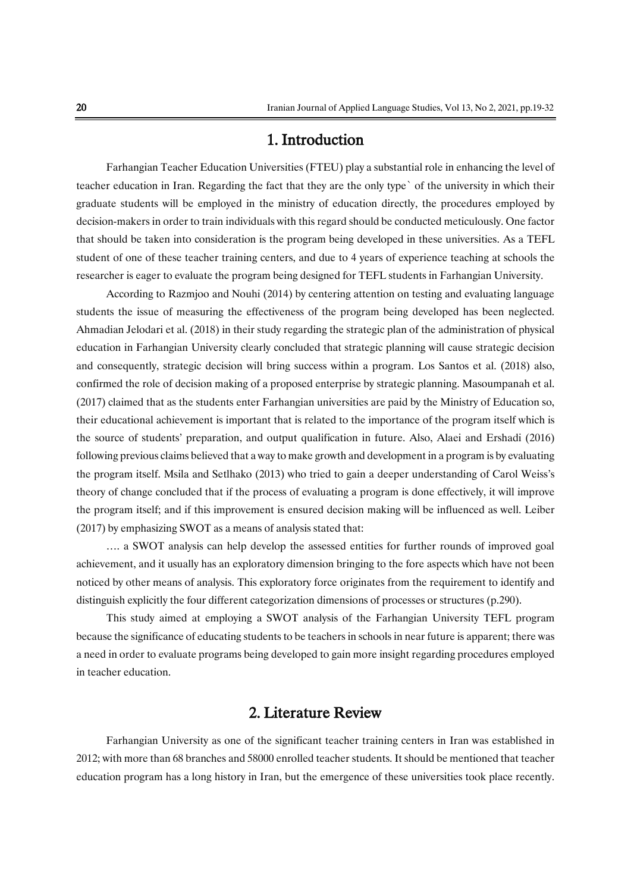# 1. Introduction

Farhangian Teacher Education Universities (FTEU) play a substantial role in enhancing the level of teacher education in Iran. Regarding the fact that they are the only type` of the university in which their graduate students will be employed in the ministry of education directly, the procedures employed by decision-makers in order to train individuals with this regard should be conducted meticulously. One factor that should be taken into consideration is the program being developed in these universities. As a TEFL student of one of these teacher training centers, and due to 4 years of experience teaching at schools the researcher is eager to evaluate the program being designed for TEFL students in Farhangian University.

According to Razmjoo and Nouhi (2014) by centering attention on testing and evaluating language students the issue of measuring the effectiveness of the program being developed has been neglected. Ahmadian Jelodari et al. (2018) in their study regarding the strategic plan of the administration of physical education in Farhangian University clearly concluded that strategic planning will cause strategic decision and consequently, strategic decision will bring success within a program. Los Santos et al. (2018) also, confirmed the role of decision making of a proposed enterprise by strategic planning. Masoumpanah et al. (2017) claimed that as the students enter Farhangian universities are paid by the Ministry of Education so, their educational achievement is important that is related to the importance of the program itself which is the source of students' preparation, and output qualification in future. Also, Alaei and Ershadi (2016) following previous claims believed that a way to make growth and development in a program is by evaluating the program itself. Msila and Setlhako (2013) who tried to gain a deeper understanding of Carol Weiss's theory of change concluded that if the process of evaluating a program is done effectively, it will improve the program itself; and if this improvement is ensured decision making will be influenced as well. Leiber (2017) by emphasizing SWOT as a means of analysis stated that:

…. a SWOT analysis can help develop the assessed entities for further rounds of improved goal achievement, and it usually has an exploratory dimension bringing to the fore aspects which have not been noticed by other means of analysis. This exploratory force originates from the requirement to identify and distinguish explicitly the four different categorization dimensions of processes or structures (p.290).

This study aimed at employing a SWOT analysis of the Farhangian University TEFL program because the significance of educating students to be teachers in schools in near future is apparent; there was a need in order to evaluate programs being developed to gain more insight regarding procedures employed in teacher education.

# 2. Literature Review

Farhangian University as one of the significant teacher training centers in Iran was established in 2012; with more than 68 branches and 58000 enrolled teacher students. It should be mentioned that teacher education program has a long history in Iran, but the emergence of these universities took place recently.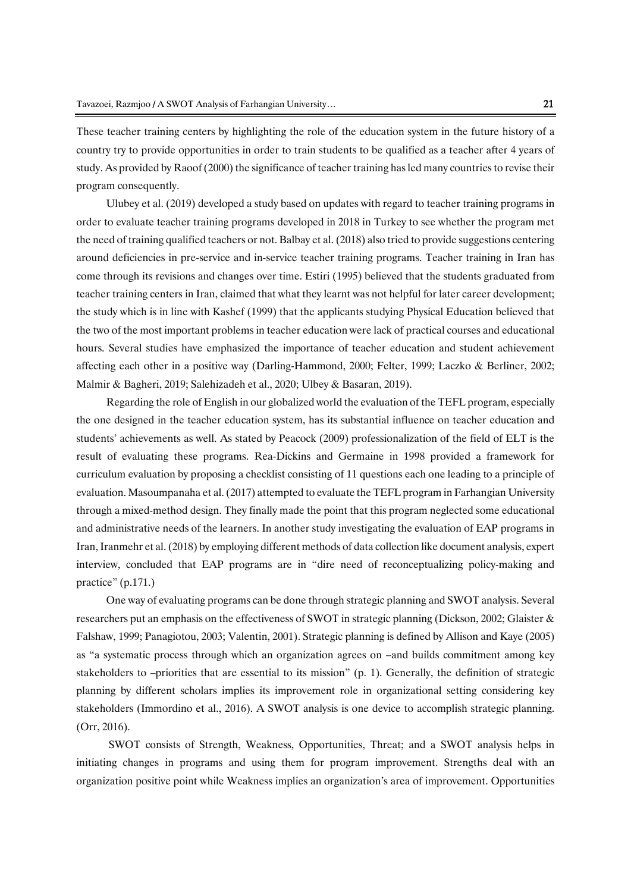These teacher training centers by highlighting the role of the education system in the future history of a country try to provide opportunities in order to train students to be qualified as a teacher after 4 years of study. As provided by Raoof (2000) the significance of teacher training has led many countries to revise their program consequently.

Ulubey et al. (2019) developed a study based on updates with regard to teacher training programs in order to evaluate teacher training programs developed in 2018 in Turkey to see whether the program met the need of training qualified teachers or not. Balbay et al. (2018) also tried to provide suggestions centering around deficiencies in pre-service and in-service teacher training programs. Teacher training in Iran has come through its revisions and changes over time. Estiri (1995) believed that the students graduated from teacher training centers in Iran, claimed that what they learnt was not helpful for later career development; the study which is in line with Kashef (1999) that the applicants studying Physical Education believed that the two of the most important problems in teacher education were lack of practical courses and educational hours. Several studies have emphasized the importance of teacher education and student achievement affecting each other in a positive way (Darling-Hammond, 2000; Felter, 1999; Laczko & Berliner, 2002; Malmir & Bagheri, 2019; Salehizadeh et al., 2020; Ulbey & Basaran, 2019).

Regarding the role of English in our globalized world the evaluation of the TEFL program, especially the one designed in the teacher education system, has its substantial influence on teacher education and students' achievements as well. As stated by Peacock (2009) professionalization of the field of ELT is the result of evaluating these programs. Rea-Dickins and Germaine in 1998 provided a framework for curriculum evaluation by proposing a checklist consisting of 11 questions each one leading to a principle of evaluation. Masoumpanaha et al. (2017) attempted to evaluate the TEFL program in Farhangian University through a mixed-method design. They finally made the point that this program neglected some educational and administrative needs of the learners. In another study investigating the evaluation of EAP programs in Iran,Iranmehr et al.(2018) by employing different methods of data collection like document analysis, expert interview, concluded that EAP programs are in "dire need of reconceptualizing policy-making and practice" (p.171.)

One way of evaluating programs can be done through strategic planning and SWOT analysis. Several researchers put an emphasis on the effectiveness of SWOT in strategic planning (Dickson, 2002; Glaister & Falshaw, 1999; Panagiotou, 2003; Valentin, 2001). Strategic planning is defined by Allison and Kaye (2005) as "a systematic process through which an organization agrees on –and builds commitment among key stakeholders to –priorities that are essential to its mission" (p. 1). Generally, the definition of strategic planning by different scholars implies its improvement role in organizational setting considering key stakeholders (Immordino et al., 2016). A SWOT analysis is one device to accomplish strategic planning. (Orr, 2016).

SWOT consists of Strength, Weakness, Opportunities, Threat; and a SWOT analysis helps in initiating changes in programs and using them for program improvement. Strengths deal with an organization positive point while Weakness implies an organization's area of improvement. Opportunities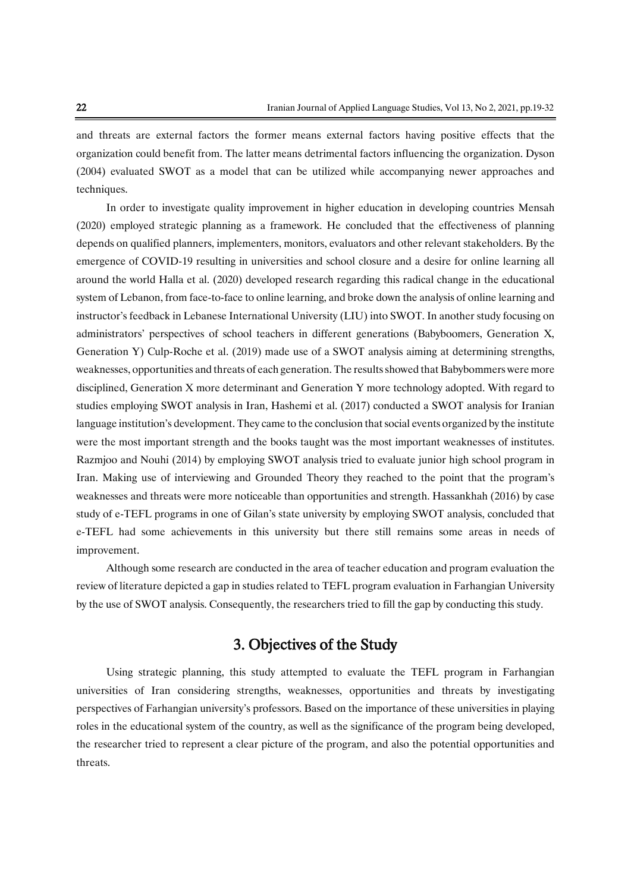and threats are external factors the former means external factors having positive effects that the organization could benefit from. The latter means detrimental factors influencing the organization. Dyson (2004) evaluated SWOT as a model that can be utilized while accompanying newer approaches and techniques.

In order to investigate quality improvement in higher education in developing countries Mensah (2020) employed strategic planning as a framework. He concluded that the effectiveness of planning depends on qualified planners, implementers, monitors, evaluators and other relevant stakeholders. By the emergence of COVID-19 resulting in universities and school closure and a desire for online learning all around the world Halla et al. (2020) developed research regarding this radical change in the educational system of Lebanon, from face-to-face to online learning, and broke down the analysis of online learning and instructor's feedback in Lebanese International University (LIU) into SWOT. In another study focusing on administrators' perspectives of school teachers in different generations (Babyboomers, Generation X, Generation Y) Culp-Roche et al. (2019) made use of a SWOT analysis aiming at determining strengths, weaknesses, opportunities and threats of each generation. The resultsshowed that Babybommers were more disciplined, Generation X more determinant and Generation Y more technology adopted. With regard to studies employing SWOT analysis in Iran, Hashemi et al. (2017) conducted a SWOT analysis for Iranian language institution's development. They came to the conclusion that social events organized by the institute were the most important strength and the books taught was the most important weaknesses of institutes. Razmjoo and Nouhi (2014) by employing SWOT analysis tried to evaluate junior high school program in Iran. Making use of interviewing and Grounded Theory they reached to the point that the program's weaknesses and threats were more noticeable than opportunities and strength. Hassankhah (2016) by case study of e-TEFL programs in one of Gilan's state university by employing SWOT analysis, concluded that e-TEFL had some achievements in this university but there still remains some areas in needs of improvement.

Although some research are conducted in the area of teacher education and program evaluation the review of literature depicted a gap in studies related to TEFL program evaluation in Farhangian University by the use of SWOT analysis. Consequently, the researchers tried to fill the gap by conducting this study.

# 3. Objectives of the Study

Using strategic planning, this study attempted to evaluate the TEFL program in Farhangian universities of Iran considering strengths, weaknesses, opportunities and threats by investigating perspectives of Farhangian university's professors. Based on the importance of these universities in playing roles in the educational system of the country, as well as the significance of the program being developed, the researcher tried to represent a clear picture of the program, and also the potential opportunities and threats.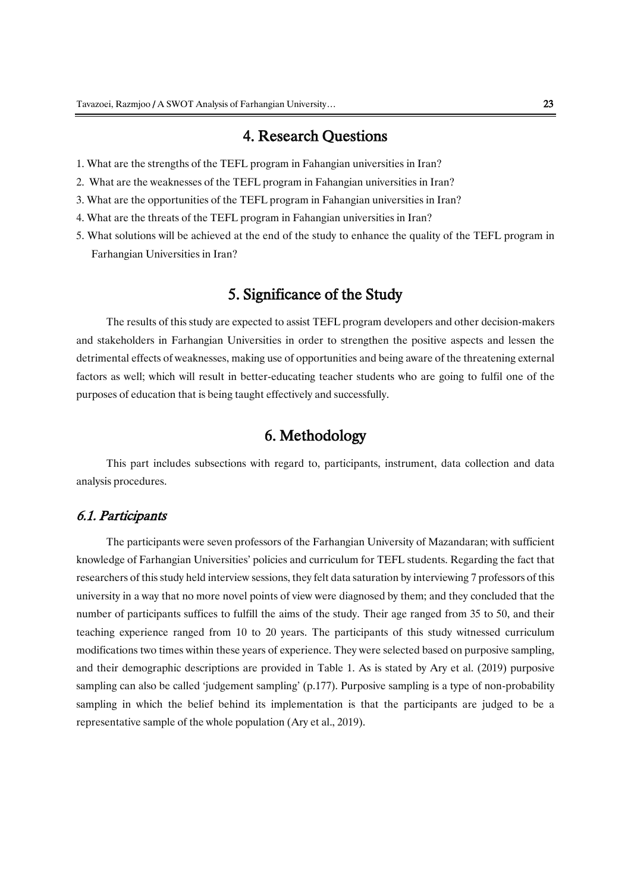## 4. Research Questions

- 1. What are the strengths of the TEFL program in Fahangian universities in Iran?
- 2. What are the weaknesses of the TEFL program in Fahangian universities in Iran?
- 3. What are the opportunities of the TEFL program in Fahangian universities in Iran?
- 4. What are the threats of the TEFL program in Fahangian universities in Iran?
- 5. What solutions will be achieved at the end of the study to enhance the quality of the TEFL program in Farhangian Universities in Iran?

# 5. Significance of the Study

The results of this study are expected to assist TEFL program developers and other decision-makers and stakeholders in Farhangian Universities in order to strengthen the positive aspects and lessen the detrimental effects of weaknesses, making use of opportunities and being aware of the threatening external factors as well; which will result in better-educating teacher students who are going to fulfil one of the purposes of education that is being taught effectively and successfully.

# 6. Methodology

This part includes subsections with regard to, participants, instrument, data collection and data analysis procedures.

#### 6.1. Participants

The participants were seven professors of the Farhangian University of Mazandaran; with sufficient knowledge of Farhangian Universities' policies and curriculum for TEFL students. Regarding the fact that researchers of this study held interview sessions, they felt data saturation by interviewing 7 professors of this university in a way that no more novel points of view were diagnosed by them; and they concluded that the number of participants suffices to fulfill the aims of the study. Their age ranged from 35 to 50, and their teaching experience ranged from 10 to 20 years. The participants of this study witnessed curriculum modifications two times within these years of experience. They were selected based on purposive sampling, and their demographic descriptions are provided in Table 1. As is stated by Ary et al. (2019) purposive sampling can also be called 'judgement sampling' (p.177). Purposive sampling is a type of non-probability sampling in which the belief behind its implementation is that the participants are judged to be a representative sample of the whole population (Ary et al., 2019).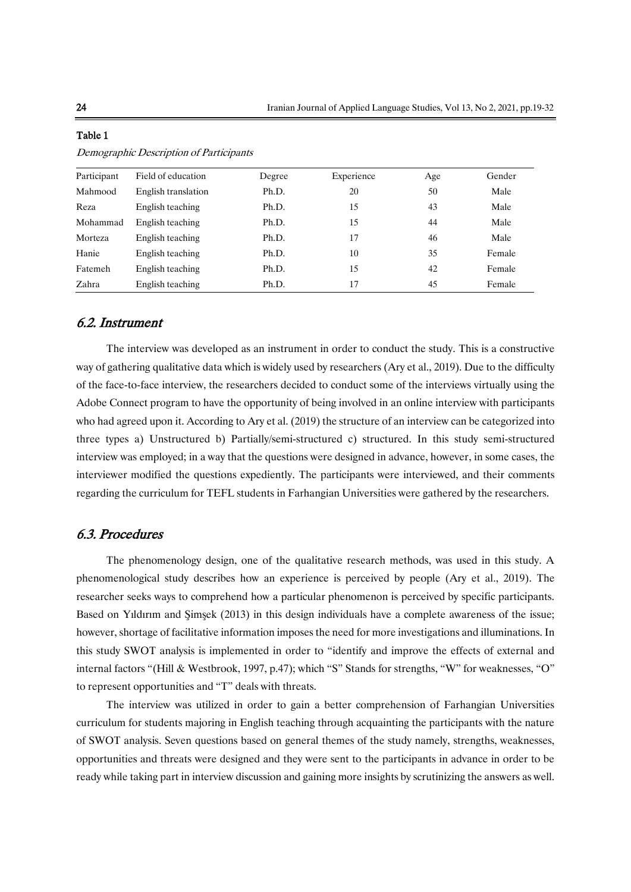| Participant | Field of education  | Degree | Experience | Age | Gender |
|-------------|---------------------|--------|------------|-----|--------|
| Mahmood     | English translation | Ph.D.  | 20         | 50  | Male   |
| Reza        | English teaching    | Ph.D.  | 15         | 43  | Male   |
| Mohammad    | English teaching    | Ph.D.  | 15         | 44  | Male   |
| Morteza     | English teaching    | Ph.D.  | 17         | 46  | Male   |
| Hanie       | English teaching    | Ph.D.  | 10         | 35  | Female |
| Fatemeh     | English teaching    | Ph.D.  | 15         | 42  | Female |
| Zahra       | English teaching    | Ph.D.  | 17         | 45  | Female |

### Table 1 Demographic Description of Participants

# 6.2. Instrument

The interview was developed as an instrument in order to conduct the study. This is a constructive way of gathering qualitative data which is widely used by researchers (Ary et al., 2019). Due to the difficulty of the face-to-face interview, the researchers decided to conduct some of the interviews virtually using the Adobe Connect program to have the opportunity of being involved in an online interview with participants who had agreed upon it. According to Ary et al. (2019) the structure of an interview can be categorized into three types a) Unstructured b) Partially/semi-structured c) structured. In this study semi-structured interview was employed; in a way that the questions were designed in advance, however, in some cases, the interviewer modified the questions expediently. The participants were interviewed, and their comments regarding the curriculum for TEFL students in Farhangian Universities were gathered by the researchers.

#### 6.3. Procedures

The phenomenology design, one of the qualitative research methods, was used in this study. A phenomenological study describes how an experience is perceived by people (Ary et al., 2019). The researcher seeks ways to comprehend how a particular phenomenon is perceived by specific participants. Based on Yıldırım and Şimşek (2013) in this design individuals have a complete awareness of the issue; however, shortage of facilitative information imposes the need for more investigations and illuminations. In this study SWOT analysis is implemented in order to "identify and improve the effects of external and internal factors "(Hill & Westbrook, 1997, p.47); which "S" Stands for strengths, "W" for weaknesses, "O" to represent opportunities and "T" deals with threats.

The interview was utilized in order to gain a better comprehension of Farhangian Universities curriculum for students majoring in English teaching through acquainting the participants with the nature of SWOT analysis. Seven questions based on general themes of the study namely, strengths, weaknesses, opportunities and threats were designed and they were sent to the participants in advance in order to be ready while taking part in interview discussion and gaining more insights by scrutinizing the answers as well.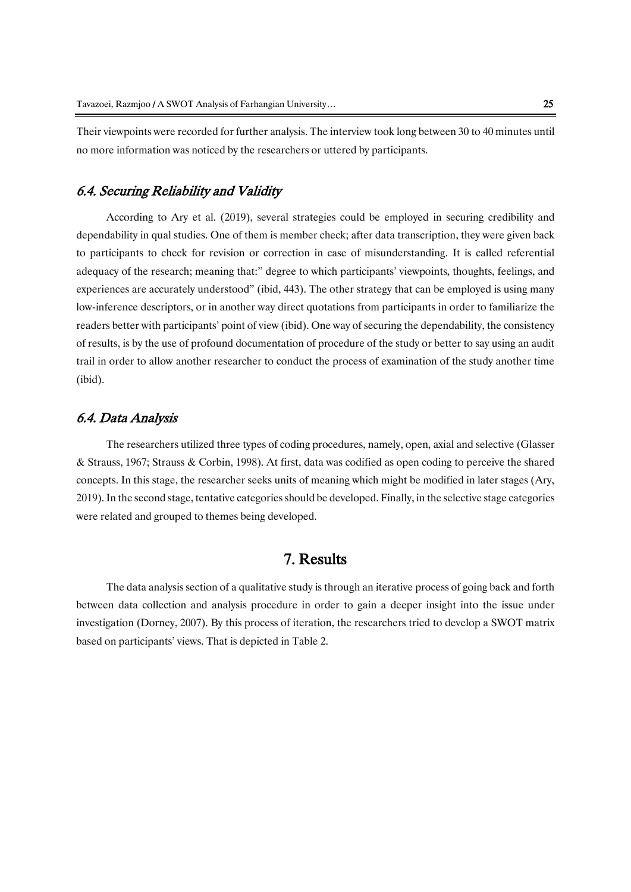Their viewpoints were recorded for further analysis. The interview took long between 30 to 40 minutes until no more information was noticed by the researchers or uttered by participants.

### 6.4. Securing Reliability and Validity

According to Ary et al. (2019), several strategies could be employed in securing credibility and dependability in qual studies. One of them is member check; after data transcription, they were given back to participants to check for revision or correction in case of misunderstanding. It is called referential adequacy of the research; meaning that:" degree to which participants' viewpoints, thoughts, feelings, and experiences are accurately understood" (ibid, 443). The other strategy that can be employed is using many low-inference descriptors, or in another way direct quotations from participants in order to familiarize the readers better with participants' point of view (ibid). One way of securing the dependability, the consistency of results, is by the use of profound documentation of procedure of the study or better to say using an audit trail in order to allow another researcher to conduct the process of examination of the study another time (ibid).

#### 6.4. Data Analysis

The researchers utilized three types of coding procedures, namely, open, axial and selective (Glasser & Strauss, 1967; Strauss & Corbin, 1998). At first, data was codified as open coding to perceive the shared concepts. In this stage, the researcher seeks units of meaning which might be modified in later stages (Ary, 2019). In the second stage, tentative categories should be developed. Finally, in the selective stage categories were related and grouped to themes being developed.

# 7. Results

The data analysis section of a qualitative study is through an iterative process of going back and forth between data collection and analysis procedure in order to gain a deeper insight into the issue under investigation (Dorney, 2007). By this process of iteration, the researchers tried to develop a SWOT matrix based on participants' views. That is depicted in Table 2.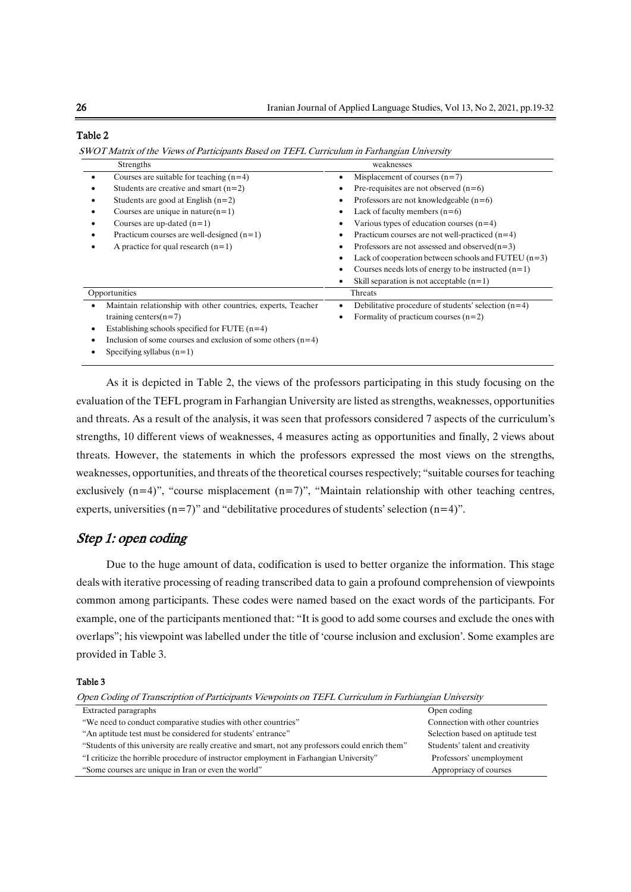| Strengths                                                                 | weaknesses                                            |
|---------------------------------------------------------------------------|-------------------------------------------------------|
| Courses are suitable for teaching $(n=4)$                                 | Misplacement of courses $(n=7)$                       |
| Students are creative and smart $(n=2)$                                   | Pre-requisites are not observed $(n=6)$               |
| Students are good at English $(n=2)$                                      | Professors are not knowledgeable $(n=6)$              |
| Courses are unique in nature $(n=1)$                                      | Lack of faculty members $(n=6)$                       |
| Courses are up-dated $(n=1)$                                              | Various types of education courses $(n=4)$            |
| Practicum courses are well-designed $(n=1)$                               | Practicum courses are not well-practiced $(n=4)$      |
| A practice for qual research $(n=1)$                                      | Professors are not assessed and observed $(n=3)$      |
|                                                                           | Lack of cooperation between schools and FUTEU $(n=3)$ |
|                                                                           | Courses needs lots of energy to be instructed $(n=1)$ |
|                                                                           | Skill separation is not acceptable $(n=1)$            |
| Opportunities                                                             | Threats                                               |
| Maintain relationship with other countries, experts, Teacher<br>$\bullet$ | Debilitative procedure of students' selection $(n=4)$ |
| training centers $(n=7)$                                                  | Formality of practicum courses $(n=2)$                |
| Establishing schools specified for FUTE $(n=4)$<br>$\bullet$              |                                                       |
| Inclusion of some courses and exclusion of some others $(n=4)$            |                                                       |
| Specifying syllabus $(n=1)$                                               |                                                       |

Table 2

SWOT Matrix of the Views of Participants Based on TEFL Curriculum in Farhangian University

As it is depicted in Table 2, the views of the professors participating in this study focusing on the evaluation of the TEFL program in Farhangian University are listed as strengths, weaknesses, opportunities and threats. As a result of the analysis, it was seen that professors considered 7 aspects of the curriculum's strengths, 10 different views of weaknesses, 4 measures acting as opportunities and finally, 2 views about threats. However, the statements in which the professors expressed the most views on the strengths, weaknesses, opportunities, and threats of the theoretical courses respectively; "suitable courses for teaching exclusively  $(n=4)$ ", "course misplacement  $(n=7)$ ", "Maintain relationship with other teaching centres, experts, universities  $(n=7)$ " and "debilitative procedures of students' selection  $(n=4)$ ".

### Step 1: open coding

Due to the huge amount of data, codification is used to better organize the information. This stage deals with iterative processing of reading transcribed data to gain a profound comprehension of viewpoints common among participants. These codes were named based on the exact words of the participants. For example, one of the participants mentioned that: "It is good to add some courses and exclude the ones with overlaps"; his viewpoint was labelled under the title of 'course inclusion and exclusion'. Some examples are provided in Table 3.

Table 3

Open Coding of Transcription of Participants Viewpoints on TEFL Curriculum in Farhiangian University

| Extracted paragraphs                                                                              | Open coding                      |  |
|---------------------------------------------------------------------------------------------------|----------------------------------|--|
| "We need to conduct comparative studies with other countries"                                     | Connection with other countries  |  |
| "An aptitude test must be considered for students' entrance"                                      | Selection based on aptitude test |  |
| "Students of this university are really creative and smart, not any professors could enrich them" | Students' talent and creativity  |  |
| "I criticize the horrible procedure of instructor employment in Farhangian University"            | Professors' unemployment         |  |
| "Some courses are unique in Iran or even the world"                                               | Appropriacy of courses           |  |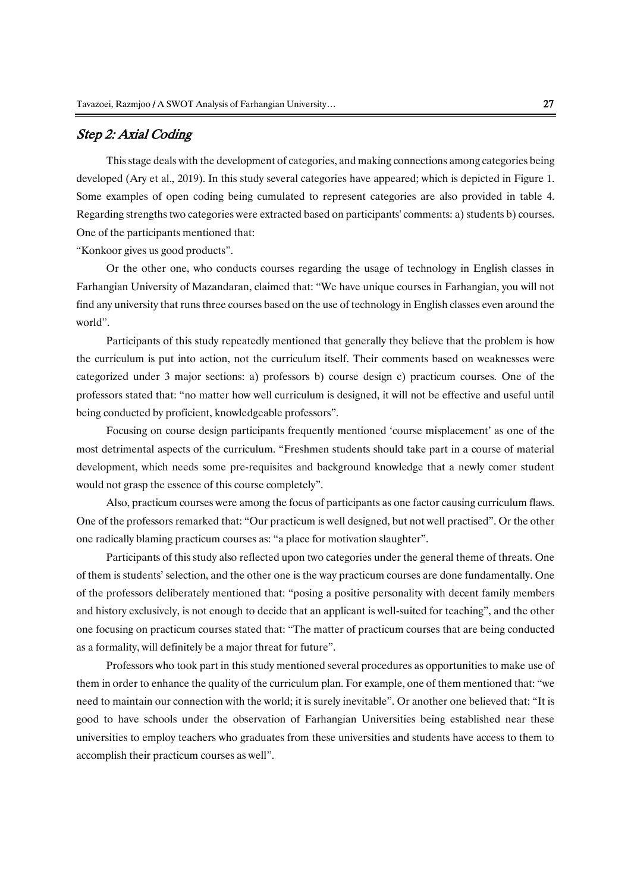### Step 2: Axial Coding

This stage deals with the development of categories, and making connections among categories being developed (Ary et al., 2019). In this study several categories have appeared; which is depicted in Figure 1. Some examples of open coding being cumulated to represent categories are also provided in table 4. Regarding strengths two categories were extracted based on participants' comments: a) students b) courses. One of the participants mentioned that:

"Konkoor gives us good products".

Or the other one, who conducts courses regarding the usage of technology in English classes in Farhangian University of Mazandaran, claimed that: "We have unique courses in Farhangian, you will not find any university that runs three courses based on the use of technology in English classes even around the world".

Participants of this study repeatedly mentioned that generally they believe that the problem is how the curriculum is put into action, not the curriculum itself. Their comments based on weaknesses were categorized under 3 major sections: a) professors b) course design c) practicum courses. One of the professors stated that: "no matter how well curriculum is designed, it will not be effective and useful until being conducted by proficient, knowledgeable professors".

Focusing on course design participants frequently mentioned 'course misplacement' as one of the most detrimental aspects of the curriculum. "Freshmen students should take part in a course of material development, which needs some pre-requisites and background knowledge that a newly comer student would not grasp the essence of this course completely".

Also, practicum courses were among the focus of participants as one factor causing curriculum flaws. One of the professors remarked that: "Our practicum is well designed, but not well practised". Or the other one radically blaming practicum courses as: "a place for motivation slaughter".

Participants of this study also reflected upon two categories under the general theme of threats. One of them is students' selection, and the other one is the way practicum courses are done fundamentally. One of the professors deliberately mentioned that: "posing a positive personality with decent family members and history exclusively, is not enough to decide that an applicant is well-suited for teaching", and the other one focusing on practicum courses stated that: "The matter of practicum courses that are being conducted as a formality, will definitely be a major threat for future".

Professors who took part in this study mentioned several procedures as opportunities to make use of them in order to enhance the quality of the curriculum plan. For example, one of them mentioned that: "we need to maintain our connection with the world; it is surely inevitable". Or another one believed that: "It is good to have schools under the observation of Farhangian Universities being established near these universities to employ teachers who graduates from these universities and students have access to them to accomplish their practicum courses as well".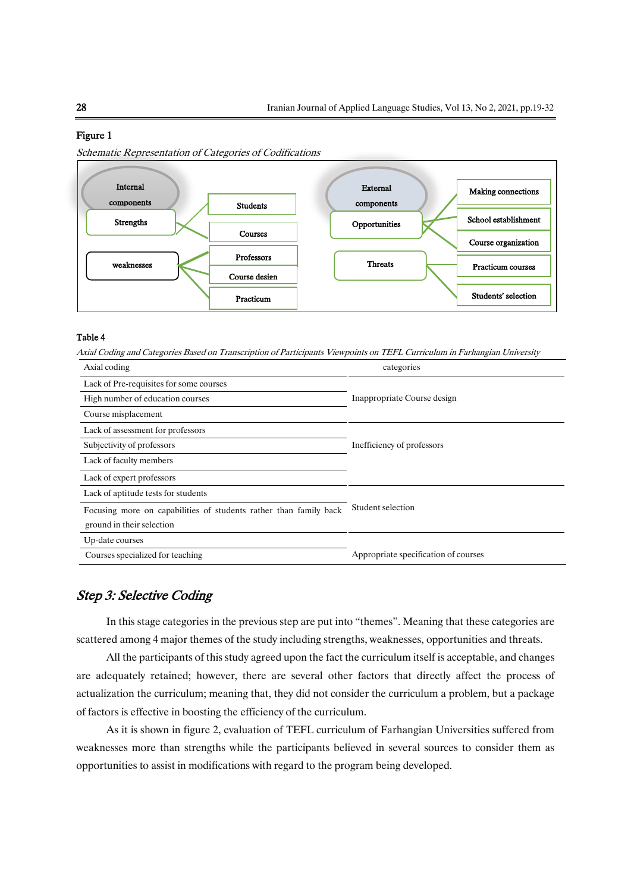#### Figure 1

Schematic Representation of Categories of Codifications



#### Table 4

Axial Coding and Categories Based on Transcription of Participants Viewpoints on TEFL Curriculum in Farhangian University

| Axial coding                                                      | categories                           |  |
|-------------------------------------------------------------------|--------------------------------------|--|
| Lack of Pre-requisites for some courses                           |                                      |  |
| High number of education courses                                  | Inappropriate Course design          |  |
| Course misplacement                                               |                                      |  |
| Lack of assessment for professors                                 |                                      |  |
| Subjectivity of professors                                        | Inefficiency of professors           |  |
| Lack of faculty members                                           |                                      |  |
| Lack of expert professors                                         |                                      |  |
| Lack of aptitude tests for students                               |                                      |  |
| Focusing more on capabilities of students rather than family back | Student selection                    |  |
| ground in their selection                                         |                                      |  |
| Up-date courses                                                   |                                      |  |
| Courses specialized for teaching                                  | Appropriate specification of courses |  |

#### Step 3: Selective Coding

In this stage categories in the previous step are put into "themes". Meaning that these categories are scattered among 4 major themes of the study including strengths, weaknesses, opportunities and threats.

All the participants of this study agreed upon the fact the curriculum itself is acceptable, and changes are adequately retained; however, there are several other factors that directly affect the process of actualization the curriculum; meaning that, they did not consider the curriculum a problem, but a package of factors is effective in boosting the efficiency of the curriculum.

As it is shown in figure 2, evaluation of TEFL curriculum of Farhangian Universities suffered from weaknesses more than strengths while the participants believed in several sources to consider them as opportunities to assist in modifications with regard to the program being developed.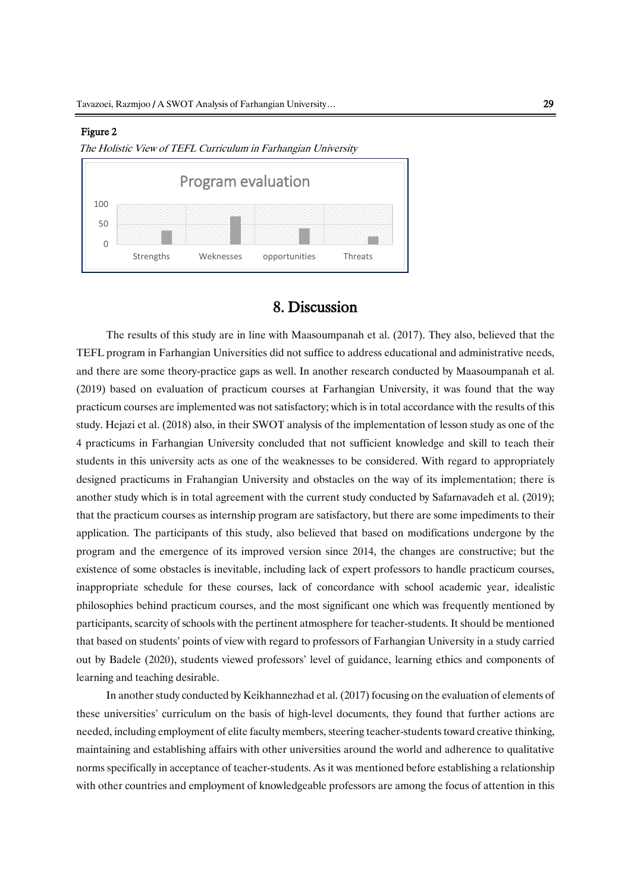#### Figure 2





#### 8. Discussion

The results of this study are in line with Maasoumpanah et al. (2017). They also, believed that the TEFL program in Farhangian Universities did not suffice to address educational and administrative needs, and there are some theory-practice gaps as well. In another research conducted by Maasoumpanah et al. (2019) based on evaluation of practicum courses at Farhangian University, it was found that the way practicum courses are implemented was not satisfactory; which is in total accordance with the results of this study. Hejazi et al. (2018) also, in their SWOT analysis of the implementation of lesson study as one of the 4 practicums in Farhangian University concluded that not sufficient knowledge and skill to teach their students in this university acts as one of the weaknesses to be considered. With regard to appropriately designed practicums in Frahangian University and obstacles on the way of its implementation; there is another study which is in total agreement with the current study conducted by Safarnavadeh et al. (2019); that the practicum courses as internship program are satisfactory, but there are some impediments to their application. The participants of this study, also believed that based on modifications undergone by the program and the emergence of its improved version since 2014, the changes are constructive; but the existence of some obstacles is inevitable, including lack of expert professors to handle practicum courses, inappropriate schedule for these courses, lack of concordance with school academic year, idealistic philosophies behind practicum courses, and the most significant one which was frequently mentioned by participants, scarcity of schools with the pertinent atmosphere for teacher-students. It should be mentioned that based on students' points of view with regard to professors of Farhangian University in a study carried out by Badele (2020), students viewed professors' level of guidance, learning ethics and components of learning and teaching desirable.

In another study conducted by Keikhannezhad et al. (2017) focusing on the evaluation of elements of these universities' curriculum on the basis of high-level documents, they found that further actions are needed, including employment of elite faculty members, steering teacher-students toward creative thinking, maintaining and establishing affairs with other universities around the world and adherence to qualitative norms specifically in acceptance of teacher-students. As it was mentioned before establishing a relationship with other countries and employment of knowledgeable professors are among the focus of attention in this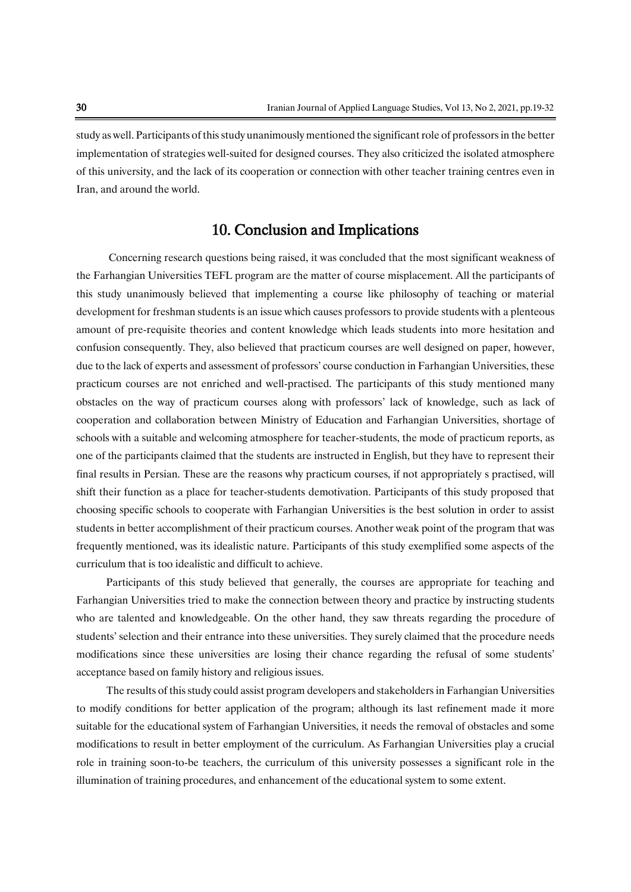study as well. Participants of this study unanimously mentioned the significant role of professors in the better implementation of strategies well-suited for designed courses. They also criticized the isolated atmosphere of this university, and the lack of its cooperation or connection with other teacher training centres even in Iran, and around the world.

# 10. Conclusion and Implications

Concerning research questions being raised, it was concluded that the most significant weakness of the Farhangian Universities TEFL program are the matter of course misplacement. All the participants of this study unanimously believed that implementing a course like philosophy of teaching or material development for freshman students is an issue which causes professors to provide students with a plenteous amount of pre-requisite theories and content knowledge which leads students into more hesitation and confusion consequently. They, also believed that practicum courses are well designed on paper, however, due to the lack of experts and assessment of professors' course conduction in Farhangian Universities, these practicum courses are not enriched and well-practised. The participants of this study mentioned many obstacles on the way of practicum courses along with professors' lack of knowledge, such as lack of cooperation and collaboration between Ministry of Education and Farhangian Universities, shortage of schools with a suitable and welcoming atmosphere for teacher-students, the mode of practicum reports, as one of the participants claimed that the students are instructed in English, but they have to represent their final results in Persian. These are the reasons why practicum courses, if not appropriately s practised, will shift their function as a place for teacher-students demotivation. Participants of this study proposed that choosing specific schools to cooperate with Farhangian Universities is the best solution in order to assist students in better accomplishment of their practicum courses. Another weak point of the program that was frequently mentioned, was its idealistic nature. Participants of this study exemplified some aspects of the curriculum that is too idealistic and difficult to achieve.

Participants of this study believed that generally, the courses are appropriate for teaching and Farhangian Universities tried to make the connection between theory and practice by instructing students who are talented and knowledgeable. On the other hand, they saw threats regarding the procedure of students' selection and their entrance into these universities. They surely claimed that the procedure needs modifications since these universities are losing their chance regarding the refusal of some students' acceptance based on family history and religious issues.

The results of this study could assist program developers and stakeholders in Farhangian Universities to modify conditions for better application of the program; although its last refinement made it more suitable for the educational system of Farhangian Universities, it needs the removal of obstacles and some modifications to result in better employment of the curriculum. As Farhangian Universities play a crucial role in training soon-to-be teachers, the curriculum of this university possesses a significant role in the illumination of training procedures, and enhancement of the educational system to some extent.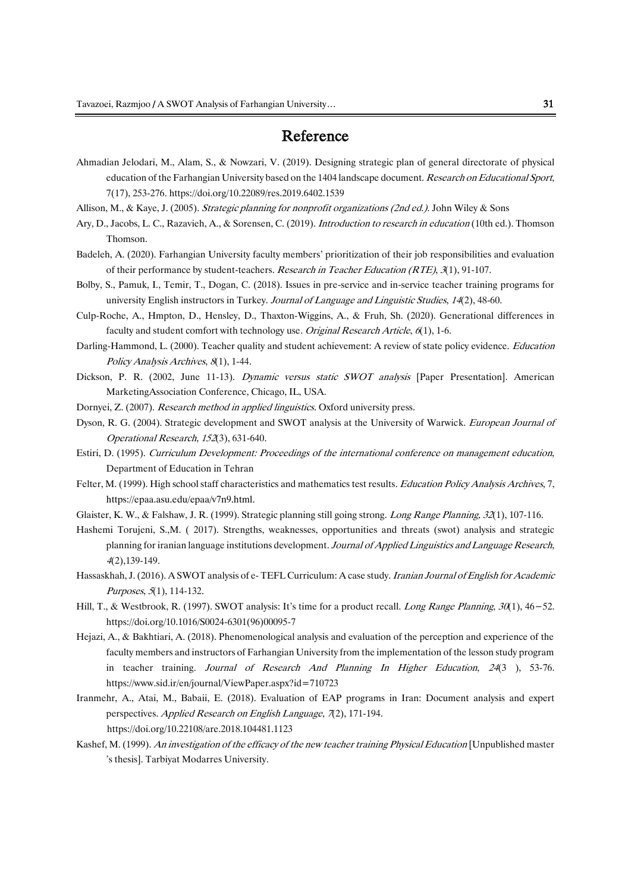# Reference

- Ahmadian Jelodari, M., Alam, S., & Nowzari, V. (2019). Designing strategic plan of general directorate of physical education of the Farhangian University based on the 1404 landscape document. Research on Educational Sport, 7(17), 253-276. https://doi.org/10.22089/res.2019.6402.1539
- Allison, M., & Kaye, J. (2005). Strategic planning for nonprofit organizations (2nd ed.). John Wiley & Sons
- Ary, D., Jacobs, L. C., Razavieh, A., & Sorensen, C. (2019). Introduction to research in education (10th ed.). Thomson Thomson.
- Badeleh, A. (2020). Farhangian University faculty members' prioritization of their job responsibilities and evaluation of their performance by student-teachers. Research in Teacher Education (RTE), 3(1), 91-107.
- Bolby, S., Pamuk, I., Temir, T., Dogan, C. (2018). Issues in pre-service and in-service teacher training programs for university English instructors in Turkey. Journal of Language and Linguistic Studies, 14(2), 48-60.
- Culp-Roche, A., Hmpton, D., Hensley, D., Thaxton-Wiggins, A., & Fruh, Sh. (2020). Generational differences in faculty and student comfort with technology use. Original Research Article, 6(1), 1-6.
- Darling-Hammond, L. (2000). Teacher quality and student achievement: A review of state policy evidence. *Education* Policy Analysis Archives, 8(1), 1-44.
- Dickson, P. R. (2002, June 11-13). Dynamic versus static SWOT analysis [Paper Presentation]. American MarketingAssociation Conference, Chicago, IL, USA.
- Dornyei, Z. (2007). Research method in applied linguistics. Oxford university press.
- Dyson, R. G. (2004). Strategic development and SWOT analysis at the University of Warwick. European Journal of Operational Research, 152(3), 631-640.
- Estiri, D. (1995). Curriculum Development: Proceedings of the international conference on management education, Department of Education in Tehran
- Felter, M. (1999). High school staff characteristics and mathematics test results. Education Policy Analysis Archives, 7, [https://epaa.asu.edu/epaa/v7n9.html.](https://epaa.asu.edu/epaa/v7n9.html)
- Glaister, K. W., & Falshaw, J. R. (1999). Strategic planning still going strong. Long Range Planning, 32(1), 107-116.
- Hashemi Torujeni, S.,M. ( 2017). Strengths, weaknesses, opportunities and threats (swot) analysis and strategic planning for iranian language institutions development. Journal of Applied Linguistics and Language Research, <sup>4</sup>(2),139-149.
- Hassaskhah, J. (2016). A SWOT analysis of e-TEFL Curriculum: A case study. *Iranian Journal of English for Academic* Purposes, 5(1), 114-132.
- Hill, T., & Westbrook, R. (1997). SWOT analysis: It's time for a product recall. Long Range Planning, 30(1), 46−52. [https://doi.org/10.1016/S0024-6301\(96\)00095-7](https://doi.org/10.1016/S0024-6301(96)00095-7)
- Hejazi, A., & Bakhtiari, A. (2018). Phenomenological analysis and evaluation of the perception and experience of the faculty members and instructors of Farhangian University from the implementation of the lesson study program in teacher training. Journal of Research And Planning In Higher Education, 24(3), 53-76. https://www.sid.ir/en/journal/ViewPaper.aspx?id=710723
- Iranmehr, A., Atai, M., Babaii, E. (2018). Evaluation of EAP programs in Iran: Document analysis and expert perspectives. Applied Research on English Language, 7(2), 171-194. https://doi.org/10.22108/are.2018.104481.1123
- Kashef, M. (1999). An investigation of the efficacy of the new teacher training Physical Education [Unpublished master 's thesis]. Tarbiyat Modarres University.